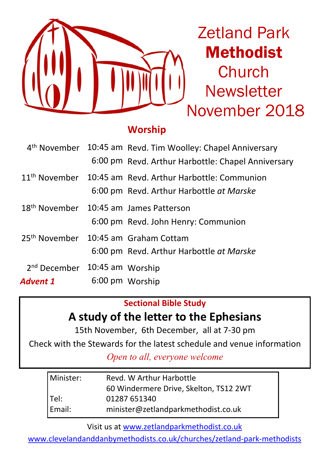

Zetland Park Methodist Church **Newsletter** November 2018

### **Worship**

|                                           |                                                    | 4 <sup>th</sup> November 10:45 am Revd. Tim Woolley: Chapel Anniversary |  |
|-------------------------------------------|----------------------------------------------------|-------------------------------------------------------------------------|--|
|                                           |                                                    | 6:00 pm Revd. Arthur Harbottle: Chapel Anniversary                      |  |
|                                           |                                                    | 11 <sup>th</sup> November 10:45 am Revd. Arthur Harbottle: Communion    |  |
|                                           |                                                    | 6:00 pm Revd. Arthur Harbottle at Marske                                |  |
|                                           | 18 <sup>th</sup> November 10:45 am James Patterson |                                                                         |  |
|                                           |                                                    | 6:00 pm Revd. John Henry: Communion                                     |  |
|                                           |                                                    | 25 <sup>th</sup> November 10:45 am Graham Cottam                        |  |
|                                           |                                                    | 6:00 pm Revd. Arthur Harbottle at Marske                                |  |
| 2 <sup>nd</sup> December 10:45 am Worship |                                                    |                                                                         |  |
| Advent 1                                  |                                                    | 6:00 pm Worship                                                         |  |

### **Sectional Bible Study**

# **A study of the letter to the Ephesians**

15th November, 6th December, all at 7-30 pm

Check with the Stewards for the latest schedule and venue information

*Open to all, everyone welcome*

| Minister: | Revd. W Arthur Harbottle               |  |  |
|-----------|----------------------------------------|--|--|
|           | 60 Windermere Drive, Skelton, TS12 2WT |  |  |
| Tel:      | 01287 651340                           |  |  |
| l Email:  | minister@zetlandparkmethodist.co.uk    |  |  |

Visit us at www.zetlandparkmethodist.co.uk

www.clevelandanddanbymethodists.co.uk/churches/zetland-park-methodists